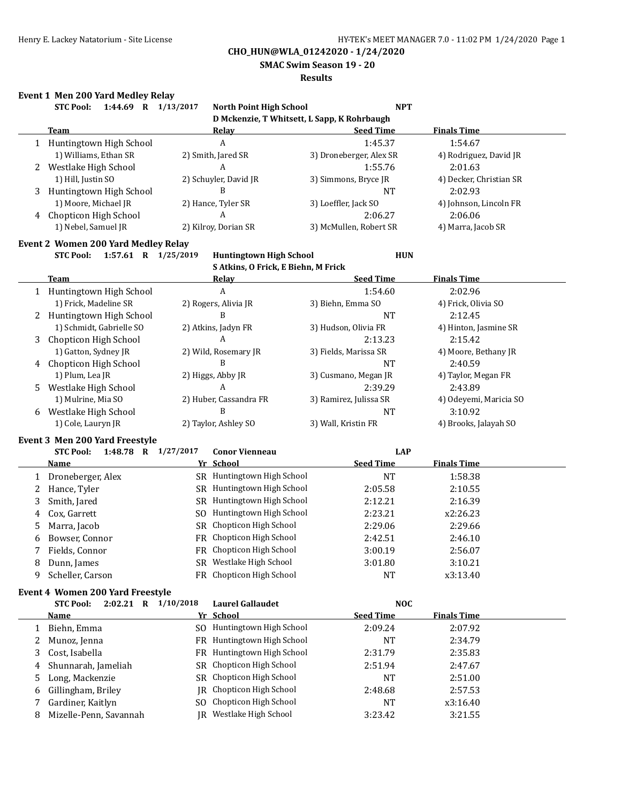**SMAC Swim Season 19 - 20**

#### **Results**

## **Event 1 Men 200 Yard Medley Relay**

| D Mckenzie, T Whitsett, L Sapp, K Rohrbaugh<br><b>Finals Time</b><br><b>Team</b><br><b>Seed Time</b><br><b>Relay</b><br>A<br>1:45.37<br>1 Huntingtown High School<br>1:54.67<br>1) Williams, Ethan SR<br>2) Smith, Jared SR<br>3) Droneberger, Alex SR<br>4) Rodriguez, David JR<br>A<br>2 Westlake High School<br>1:55.76<br>2:01.63<br>1) Hill, Justin SO<br>2) Schuyler, David JR<br>4) Decker, Christian SR<br>3) Simmons, Bryce JR<br>B<br>Huntingtown High School<br>2:02.93<br>3<br><b>NT</b><br>2) Hance, Tyler SR<br>1) Moore, Michael JR<br>3) Loeffler, Jack SO<br>4) Johnson, Lincoln FR<br>A<br>2:06.27<br>Chopticon High School<br>2:06.06<br>4<br>1) Nebel, Samuel JR<br>2) Kilroy, Dorian SR<br>3) McMullen, Robert SR<br>4) Marra, Jacob SR<br><b>Event 2 Women 200 Yard Medley Relay</b><br>1:57.61 R 1/25/2019<br><b>STC Pool:</b><br><b>Huntingtown High School</b><br><b>HUN</b><br>S Atkins, O Frick, E Biehn, M Frick<br><b>Seed Time</b><br><b>Finals Time</b><br><b>Team</b><br>Relay<br>$\boldsymbol{A}$<br>1:54.60<br>2:02.96<br>1 Huntingtown High School<br>1) Frick, Madeline SR<br>2) Rogers, Alivia JR<br>4) Frick, Olivia SO<br>3) Biehn, Emma SO<br>B<br>2:12.45<br>2 Huntingtown High School<br><b>NT</b><br>1) Schmidt, Gabrielle SO<br>2) Atkins, Jadyn FR<br>3) Hudson, Olivia FR<br>4) Hinton, Jasmine SR<br>A<br>Chopticon High School<br>2:13.23<br>2:15.42<br>3<br>1) Gatton, Sydney JR<br>2) Wild, Rosemary JR<br>4) Moore, Bethany JR<br>3) Fields, Marissa SR<br>B<br>Chopticon High School<br><b>NT</b><br>2:40.59<br>4<br>1) Plum, Lea JR<br>2) Higgs, Abby JR<br>3) Cusmano, Megan JR<br>4) Taylor, Megan FR<br>A<br>2:39.29<br>Westlake High School<br>2:43.89<br>5.<br>2) Huber, Cassandra FR<br>1) Mulrine, Mia SO<br>4) Odeyemi, Maricia SO<br>3) Ramirez, Julissa SR<br>B<br>Westlake High School<br><b>NT</b><br>3:10.92<br>6<br>1) Cole, Lauryn JR<br>2) Taylor, Ashley SO<br>3) Wall, Kristin FR<br>4) Brooks, Jalayah SO<br>Event 3 Men 200 Yard Freestyle<br><b>STC Pool:</b><br>1:48.78 R 1/27/2017<br><b>Conor Vienneau</b><br><b>LAP</b><br><b>Seed Time</b><br>Yr School<br><b>Finals Time</b><br>Name<br>SR Huntingtown High School<br>Droneberger, Alex<br><b>NT</b><br>1:58.38<br>1<br>SR Huntingtown High School<br>Hance, Tyler<br>2:05.58<br>2:10.55<br>2<br>SR Huntingtown High School<br>Smith, Jared<br>2:12.21<br>2:16.39<br>3<br>SO Huntingtown High School<br>2:23.21<br>Cox, Garrett<br>x2:26.23<br>4<br>SR Chopticon High School<br>Marra, Jacob<br>2:29.06<br>2:29.66<br>5<br>FR Chopticon High School<br>Bowser, Connor<br>2:42.51<br>2:46.10<br>6<br>FR Chopticon High School<br>3:00.19<br>7<br>Fields, Connor<br>2:56.07<br>SR Westlake High School<br>3:01.80<br>Dunn, James<br>3:10.21<br>8<br>FR Chopticon High School<br>Scheller, Carson<br><b>NT</b><br>x3:13.40<br>9<br>Event 4 Women 200 Yard Freestyle<br>2:02.21 R 1/10/2018<br><b>Laurel Gallaudet</b><br><b>NOC</b><br><b>STC Pool:</b><br><b>Seed Time</b><br><b>Finals Time</b><br>Yr School<br><u>Name</u><br>SO Huntingtown High School<br>2:09.24<br>2:07.92<br>Biehn, Emma<br>1<br>FR Huntingtown High School<br>Munoz, Jenna<br>2:34.79<br>NT<br>2<br>FR Huntingtown High School<br>Cost, Isabella<br>2:31.79<br>3<br>2:35.83<br>SR Chopticon High School<br>Shunnarah, Jameliah<br>2:51.94<br>2:47.67<br>4<br>SR Chopticon High School<br>Long, Mackenzie<br>NT<br>2:51.00<br>5<br>Chopticon High School<br>Gillingham, Briley<br>2:57.53<br>2:48.68<br>IR<br>6<br>SO Chopticon High School<br>Gardiner, Kaitlyn<br>NT<br>x3:16.40<br>7<br>IR |   | 1:44.69 R 1/13/2017<br><b>STC Pool:</b> | <b>North Point High School</b> | <b>NPT</b> |         |
|----------------------------------------------------------------------------------------------------------------------------------------------------------------------------------------------------------------------------------------------------------------------------------------------------------------------------------------------------------------------------------------------------------------------------------------------------------------------------------------------------------------------------------------------------------------------------------------------------------------------------------------------------------------------------------------------------------------------------------------------------------------------------------------------------------------------------------------------------------------------------------------------------------------------------------------------------------------------------------------------------------------------------------------------------------------------------------------------------------------------------------------------------------------------------------------------------------------------------------------------------------------------------------------------------------------------------------------------------------------------------------------------------------------------------------------------------------------------------------------------------------------------------------------------------------------------------------------------------------------------------------------------------------------------------------------------------------------------------------------------------------------------------------------------------------------------------------------------------------------------------------------------------------------------------------------------------------------------------------------------------------------------------------------------------------------------------------------------------------------------------------------------------------------------------------------------------------------------------------------------------------------------------------------------------------------------------------------------------------------------------------------------------------------------------------------------------------------------------------------------------------------------------------------------------------------------------------------------------------------------------------------------------------------------------------------------------------------------------------------------------------------------------------------------------------------------------------------------------------------------------------------------------------------------------------------------------------------------------------------------------------------------------------------------------------------------------------------------------------------------------------------------------------------------------------------------------------------------------------------------------------------------------------------------------------------------------------------------------------------------------------------------------------------------------------------------------------------------------------------------------------------------------------------------------------------------------------------------------|---|-----------------------------------------|--------------------------------|------------|---------|
|                                                                                                                                                                                                                                                                                                                                                                                                                                                                                                                                                                                                                                                                                                                                                                                                                                                                                                                                                                                                                                                                                                                                                                                                                                                                                                                                                                                                                                                                                                                                                                                                                                                                                                                                                                                                                                                                                                                                                                                                                                                                                                                                                                                                                                                                                                                                                                                                                                                                                                                                                                                                                                                                                                                                                                                                                                                                                                                                                                                                                                                                                                                                                                                                                                                                                                                                                                                                                                                                                                                                                                                                    |   |                                         |                                |            |         |
|                                                                                                                                                                                                                                                                                                                                                                                                                                                                                                                                                                                                                                                                                                                                                                                                                                                                                                                                                                                                                                                                                                                                                                                                                                                                                                                                                                                                                                                                                                                                                                                                                                                                                                                                                                                                                                                                                                                                                                                                                                                                                                                                                                                                                                                                                                                                                                                                                                                                                                                                                                                                                                                                                                                                                                                                                                                                                                                                                                                                                                                                                                                                                                                                                                                                                                                                                                                                                                                                                                                                                                                                    |   |                                         |                                |            |         |
|                                                                                                                                                                                                                                                                                                                                                                                                                                                                                                                                                                                                                                                                                                                                                                                                                                                                                                                                                                                                                                                                                                                                                                                                                                                                                                                                                                                                                                                                                                                                                                                                                                                                                                                                                                                                                                                                                                                                                                                                                                                                                                                                                                                                                                                                                                                                                                                                                                                                                                                                                                                                                                                                                                                                                                                                                                                                                                                                                                                                                                                                                                                                                                                                                                                                                                                                                                                                                                                                                                                                                                                                    |   |                                         |                                |            |         |
|                                                                                                                                                                                                                                                                                                                                                                                                                                                                                                                                                                                                                                                                                                                                                                                                                                                                                                                                                                                                                                                                                                                                                                                                                                                                                                                                                                                                                                                                                                                                                                                                                                                                                                                                                                                                                                                                                                                                                                                                                                                                                                                                                                                                                                                                                                                                                                                                                                                                                                                                                                                                                                                                                                                                                                                                                                                                                                                                                                                                                                                                                                                                                                                                                                                                                                                                                                                                                                                                                                                                                                                                    |   |                                         |                                |            |         |
|                                                                                                                                                                                                                                                                                                                                                                                                                                                                                                                                                                                                                                                                                                                                                                                                                                                                                                                                                                                                                                                                                                                                                                                                                                                                                                                                                                                                                                                                                                                                                                                                                                                                                                                                                                                                                                                                                                                                                                                                                                                                                                                                                                                                                                                                                                                                                                                                                                                                                                                                                                                                                                                                                                                                                                                                                                                                                                                                                                                                                                                                                                                                                                                                                                                                                                                                                                                                                                                                                                                                                                                                    |   |                                         |                                |            |         |
|                                                                                                                                                                                                                                                                                                                                                                                                                                                                                                                                                                                                                                                                                                                                                                                                                                                                                                                                                                                                                                                                                                                                                                                                                                                                                                                                                                                                                                                                                                                                                                                                                                                                                                                                                                                                                                                                                                                                                                                                                                                                                                                                                                                                                                                                                                                                                                                                                                                                                                                                                                                                                                                                                                                                                                                                                                                                                                                                                                                                                                                                                                                                                                                                                                                                                                                                                                                                                                                                                                                                                                                                    |   |                                         |                                |            |         |
|                                                                                                                                                                                                                                                                                                                                                                                                                                                                                                                                                                                                                                                                                                                                                                                                                                                                                                                                                                                                                                                                                                                                                                                                                                                                                                                                                                                                                                                                                                                                                                                                                                                                                                                                                                                                                                                                                                                                                                                                                                                                                                                                                                                                                                                                                                                                                                                                                                                                                                                                                                                                                                                                                                                                                                                                                                                                                                                                                                                                                                                                                                                                                                                                                                                                                                                                                                                                                                                                                                                                                                                                    |   |                                         |                                |            |         |
|                                                                                                                                                                                                                                                                                                                                                                                                                                                                                                                                                                                                                                                                                                                                                                                                                                                                                                                                                                                                                                                                                                                                                                                                                                                                                                                                                                                                                                                                                                                                                                                                                                                                                                                                                                                                                                                                                                                                                                                                                                                                                                                                                                                                                                                                                                                                                                                                                                                                                                                                                                                                                                                                                                                                                                                                                                                                                                                                                                                                                                                                                                                                                                                                                                                                                                                                                                                                                                                                                                                                                                                                    |   |                                         |                                |            |         |
|                                                                                                                                                                                                                                                                                                                                                                                                                                                                                                                                                                                                                                                                                                                                                                                                                                                                                                                                                                                                                                                                                                                                                                                                                                                                                                                                                                                                                                                                                                                                                                                                                                                                                                                                                                                                                                                                                                                                                                                                                                                                                                                                                                                                                                                                                                                                                                                                                                                                                                                                                                                                                                                                                                                                                                                                                                                                                                                                                                                                                                                                                                                                                                                                                                                                                                                                                                                                                                                                                                                                                                                                    |   |                                         |                                |            |         |
|                                                                                                                                                                                                                                                                                                                                                                                                                                                                                                                                                                                                                                                                                                                                                                                                                                                                                                                                                                                                                                                                                                                                                                                                                                                                                                                                                                                                                                                                                                                                                                                                                                                                                                                                                                                                                                                                                                                                                                                                                                                                                                                                                                                                                                                                                                                                                                                                                                                                                                                                                                                                                                                                                                                                                                                                                                                                                                                                                                                                                                                                                                                                                                                                                                                                                                                                                                                                                                                                                                                                                                                                    |   |                                         |                                |            |         |
|                                                                                                                                                                                                                                                                                                                                                                                                                                                                                                                                                                                                                                                                                                                                                                                                                                                                                                                                                                                                                                                                                                                                                                                                                                                                                                                                                                                                                                                                                                                                                                                                                                                                                                                                                                                                                                                                                                                                                                                                                                                                                                                                                                                                                                                                                                                                                                                                                                                                                                                                                                                                                                                                                                                                                                                                                                                                                                                                                                                                                                                                                                                                                                                                                                                                                                                                                                                                                                                                                                                                                                                                    |   |                                         |                                |            |         |
|                                                                                                                                                                                                                                                                                                                                                                                                                                                                                                                                                                                                                                                                                                                                                                                                                                                                                                                                                                                                                                                                                                                                                                                                                                                                                                                                                                                                                                                                                                                                                                                                                                                                                                                                                                                                                                                                                                                                                                                                                                                                                                                                                                                                                                                                                                                                                                                                                                                                                                                                                                                                                                                                                                                                                                                                                                                                                                                                                                                                                                                                                                                                                                                                                                                                                                                                                                                                                                                                                                                                                                                                    |   |                                         |                                |            |         |
|                                                                                                                                                                                                                                                                                                                                                                                                                                                                                                                                                                                                                                                                                                                                                                                                                                                                                                                                                                                                                                                                                                                                                                                                                                                                                                                                                                                                                                                                                                                                                                                                                                                                                                                                                                                                                                                                                                                                                                                                                                                                                                                                                                                                                                                                                                                                                                                                                                                                                                                                                                                                                                                                                                                                                                                                                                                                                                                                                                                                                                                                                                                                                                                                                                                                                                                                                                                                                                                                                                                                                                                                    |   |                                         |                                |            |         |
|                                                                                                                                                                                                                                                                                                                                                                                                                                                                                                                                                                                                                                                                                                                                                                                                                                                                                                                                                                                                                                                                                                                                                                                                                                                                                                                                                                                                                                                                                                                                                                                                                                                                                                                                                                                                                                                                                                                                                                                                                                                                                                                                                                                                                                                                                                                                                                                                                                                                                                                                                                                                                                                                                                                                                                                                                                                                                                                                                                                                                                                                                                                                                                                                                                                                                                                                                                                                                                                                                                                                                                                                    |   |                                         |                                |            |         |
|                                                                                                                                                                                                                                                                                                                                                                                                                                                                                                                                                                                                                                                                                                                                                                                                                                                                                                                                                                                                                                                                                                                                                                                                                                                                                                                                                                                                                                                                                                                                                                                                                                                                                                                                                                                                                                                                                                                                                                                                                                                                                                                                                                                                                                                                                                                                                                                                                                                                                                                                                                                                                                                                                                                                                                                                                                                                                                                                                                                                                                                                                                                                                                                                                                                                                                                                                                                                                                                                                                                                                                                                    |   |                                         |                                |            |         |
|                                                                                                                                                                                                                                                                                                                                                                                                                                                                                                                                                                                                                                                                                                                                                                                                                                                                                                                                                                                                                                                                                                                                                                                                                                                                                                                                                                                                                                                                                                                                                                                                                                                                                                                                                                                                                                                                                                                                                                                                                                                                                                                                                                                                                                                                                                                                                                                                                                                                                                                                                                                                                                                                                                                                                                                                                                                                                                                                                                                                                                                                                                                                                                                                                                                                                                                                                                                                                                                                                                                                                                                                    |   |                                         |                                |            |         |
|                                                                                                                                                                                                                                                                                                                                                                                                                                                                                                                                                                                                                                                                                                                                                                                                                                                                                                                                                                                                                                                                                                                                                                                                                                                                                                                                                                                                                                                                                                                                                                                                                                                                                                                                                                                                                                                                                                                                                                                                                                                                                                                                                                                                                                                                                                                                                                                                                                                                                                                                                                                                                                                                                                                                                                                                                                                                                                                                                                                                                                                                                                                                                                                                                                                                                                                                                                                                                                                                                                                                                                                                    |   |                                         |                                |            |         |
|                                                                                                                                                                                                                                                                                                                                                                                                                                                                                                                                                                                                                                                                                                                                                                                                                                                                                                                                                                                                                                                                                                                                                                                                                                                                                                                                                                                                                                                                                                                                                                                                                                                                                                                                                                                                                                                                                                                                                                                                                                                                                                                                                                                                                                                                                                                                                                                                                                                                                                                                                                                                                                                                                                                                                                                                                                                                                                                                                                                                                                                                                                                                                                                                                                                                                                                                                                                                                                                                                                                                                                                                    |   |                                         |                                |            |         |
|                                                                                                                                                                                                                                                                                                                                                                                                                                                                                                                                                                                                                                                                                                                                                                                                                                                                                                                                                                                                                                                                                                                                                                                                                                                                                                                                                                                                                                                                                                                                                                                                                                                                                                                                                                                                                                                                                                                                                                                                                                                                                                                                                                                                                                                                                                                                                                                                                                                                                                                                                                                                                                                                                                                                                                                                                                                                                                                                                                                                                                                                                                                                                                                                                                                                                                                                                                                                                                                                                                                                                                                                    |   |                                         |                                |            |         |
|                                                                                                                                                                                                                                                                                                                                                                                                                                                                                                                                                                                                                                                                                                                                                                                                                                                                                                                                                                                                                                                                                                                                                                                                                                                                                                                                                                                                                                                                                                                                                                                                                                                                                                                                                                                                                                                                                                                                                                                                                                                                                                                                                                                                                                                                                                                                                                                                                                                                                                                                                                                                                                                                                                                                                                                                                                                                                                                                                                                                                                                                                                                                                                                                                                                                                                                                                                                                                                                                                                                                                                                                    |   |                                         |                                |            |         |
|                                                                                                                                                                                                                                                                                                                                                                                                                                                                                                                                                                                                                                                                                                                                                                                                                                                                                                                                                                                                                                                                                                                                                                                                                                                                                                                                                                                                                                                                                                                                                                                                                                                                                                                                                                                                                                                                                                                                                                                                                                                                                                                                                                                                                                                                                                                                                                                                                                                                                                                                                                                                                                                                                                                                                                                                                                                                                                                                                                                                                                                                                                                                                                                                                                                                                                                                                                                                                                                                                                                                                                                                    |   |                                         |                                |            |         |
|                                                                                                                                                                                                                                                                                                                                                                                                                                                                                                                                                                                                                                                                                                                                                                                                                                                                                                                                                                                                                                                                                                                                                                                                                                                                                                                                                                                                                                                                                                                                                                                                                                                                                                                                                                                                                                                                                                                                                                                                                                                                                                                                                                                                                                                                                                                                                                                                                                                                                                                                                                                                                                                                                                                                                                                                                                                                                                                                                                                                                                                                                                                                                                                                                                                                                                                                                                                                                                                                                                                                                                                                    |   |                                         |                                |            |         |
|                                                                                                                                                                                                                                                                                                                                                                                                                                                                                                                                                                                                                                                                                                                                                                                                                                                                                                                                                                                                                                                                                                                                                                                                                                                                                                                                                                                                                                                                                                                                                                                                                                                                                                                                                                                                                                                                                                                                                                                                                                                                                                                                                                                                                                                                                                                                                                                                                                                                                                                                                                                                                                                                                                                                                                                                                                                                                                                                                                                                                                                                                                                                                                                                                                                                                                                                                                                                                                                                                                                                                                                                    |   |                                         |                                |            |         |
|                                                                                                                                                                                                                                                                                                                                                                                                                                                                                                                                                                                                                                                                                                                                                                                                                                                                                                                                                                                                                                                                                                                                                                                                                                                                                                                                                                                                                                                                                                                                                                                                                                                                                                                                                                                                                                                                                                                                                                                                                                                                                                                                                                                                                                                                                                                                                                                                                                                                                                                                                                                                                                                                                                                                                                                                                                                                                                                                                                                                                                                                                                                                                                                                                                                                                                                                                                                                                                                                                                                                                                                                    |   |                                         |                                |            |         |
|                                                                                                                                                                                                                                                                                                                                                                                                                                                                                                                                                                                                                                                                                                                                                                                                                                                                                                                                                                                                                                                                                                                                                                                                                                                                                                                                                                                                                                                                                                                                                                                                                                                                                                                                                                                                                                                                                                                                                                                                                                                                                                                                                                                                                                                                                                                                                                                                                                                                                                                                                                                                                                                                                                                                                                                                                                                                                                                                                                                                                                                                                                                                                                                                                                                                                                                                                                                                                                                                                                                                                                                                    |   |                                         |                                |            |         |
|                                                                                                                                                                                                                                                                                                                                                                                                                                                                                                                                                                                                                                                                                                                                                                                                                                                                                                                                                                                                                                                                                                                                                                                                                                                                                                                                                                                                                                                                                                                                                                                                                                                                                                                                                                                                                                                                                                                                                                                                                                                                                                                                                                                                                                                                                                                                                                                                                                                                                                                                                                                                                                                                                                                                                                                                                                                                                                                                                                                                                                                                                                                                                                                                                                                                                                                                                                                                                                                                                                                                                                                                    |   |                                         |                                |            |         |
|                                                                                                                                                                                                                                                                                                                                                                                                                                                                                                                                                                                                                                                                                                                                                                                                                                                                                                                                                                                                                                                                                                                                                                                                                                                                                                                                                                                                                                                                                                                                                                                                                                                                                                                                                                                                                                                                                                                                                                                                                                                                                                                                                                                                                                                                                                                                                                                                                                                                                                                                                                                                                                                                                                                                                                                                                                                                                                                                                                                                                                                                                                                                                                                                                                                                                                                                                                                                                                                                                                                                                                                                    |   |                                         |                                |            |         |
|                                                                                                                                                                                                                                                                                                                                                                                                                                                                                                                                                                                                                                                                                                                                                                                                                                                                                                                                                                                                                                                                                                                                                                                                                                                                                                                                                                                                                                                                                                                                                                                                                                                                                                                                                                                                                                                                                                                                                                                                                                                                                                                                                                                                                                                                                                                                                                                                                                                                                                                                                                                                                                                                                                                                                                                                                                                                                                                                                                                                                                                                                                                                                                                                                                                                                                                                                                                                                                                                                                                                                                                                    |   |                                         |                                |            |         |
|                                                                                                                                                                                                                                                                                                                                                                                                                                                                                                                                                                                                                                                                                                                                                                                                                                                                                                                                                                                                                                                                                                                                                                                                                                                                                                                                                                                                                                                                                                                                                                                                                                                                                                                                                                                                                                                                                                                                                                                                                                                                                                                                                                                                                                                                                                                                                                                                                                                                                                                                                                                                                                                                                                                                                                                                                                                                                                                                                                                                                                                                                                                                                                                                                                                                                                                                                                                                                                                                                                                                                                                                    |   |                                         |                                |            |         |
|                                                                                                                                                                                                                                                                                                                                                                                                                                                                                                                                                                                                                                                                                                                                                                                                                                                                                                                                                                                                                                                                                                                                                                                                                                                                                                                                                                                                                                                                                                                                                                                                                                                                                                                                                                                                                                                                                                                                                                                                                                                                                                                                                                                                                                                                                                                                                                                                                                                                                                                                                                                                                                                                                                                                                                                                                                                                                                                                                                                                                                                                                                                                                                                                                                                                                                                                                                                                                                                                                                                                                                                                    |   |                                         |                                |            |         |
|                                                                                                                                                                                                                                                                                                                                                                                                                                                                                                                                                                                                                                                                                                                                                                                                                                                                                                                                                                                                                                                                                                                                                                                                                                                                                                                                                                                                                                                                                                                                                                                                                                                                                                                                                                                                                                                                                                                                                                                                                                                                                                                                                                                                                                                                                                                                                                                                                                                                                                                                                                                                                                                                                                                                                                                                                                                                                                                                                                                                                                                                                                                                                                                                                                                                                                                                                                                                                                                                                                                                                                                                    |   |                                         |                                |            |         |
|                                                                                                                                                                                                                                                                                                                                                                                                                                                                                                                                                                                                                                                                                                                                                                                                                                                                                                                                                                                                                                                                                                                                                                                                                                                                                                                                                                                                                                                                                                                                                                                                                                                                                                                                                                                                                                                                                                                                                                                                                                                                                                                                                                                                                                                                                                                                                                                                                                                                                                                                                                                                                                                                                                                                                                                                                                                                                                                                                                                                                                                                                                                                                                                                                                                                                                                                                                                                                                                                                                                                                                                                    |   |                                         |                                |            |         |
|                                                                                                                                                                                                                                                                                                                                                                                                                                                                                                                                                                                                                                                                                                                                                                                                                                                                                                                                                                                                                                                                                                                                                                                                                                                                                                                                                                                                                                                                                                                                                                                                                                                                                                                                                                                                                                                                                                                                                                                                                                                                                                                                                                                                                                                                                                                                                                                                                                                                                                                                                                                                                                                                                                                                                                                                                                                                                                                                                                                                                                                                                                                                                                                                                                                                                                                                                                                                                                                                                                                                                                                                    |   |                                         |                                |            |         |
|                                                                                                                                                                                                                                                                                                                                                                                                                                                                                                                                                                                                                                                                                                                                                                                                                                                                                                                                                                                                                                                                                                                                                                                                                                                                                                                                                                                                                                                                                                                                                                                                                                                                                                                                                                                                                                                                                                                                                                                                                                                                                                                                                                                                                                                                                                                                                                                                                                                                                                                                                                                                                                                                                                                                                                                                                                                                                                                                                                                                                                                                                                                                                                                                                                                                                                                                                                                                                                                                                                                                                                                                    |   |                                         |                                |            |         |
|                                                                                                                                                                                                                                                                                                                                                                                                                                                                                                                                                                                                                                                                                                                                                                                                                                                                                                                                                                                                                                                                                                                                                                                                                                                                                                                                                                                                                                                                                                                                                                                                                                                                                                                                                                                                                                                                                                                                                                                                                                                                                                                                                                                                                                                                                                                                                                                                                                                                                                                                                                                                                                                                                                                                                                                                                                                                                                                                                                                                                                                                                                                                                                                                                                                                                                                                                                                                                                                                                                                                                                                                    |   |                                         |                                |            |         |
|                                                                                                                                                                                                                                                                                                                                                                                                                                                                                                                                                                                                                                                                                                                                                                                                                                                                                                                                                                                                                                                                                                                                                                                                                                                                                                                                                                                                                                                                                                                                                                                                                                                                                                                                                                                                                                                                                                                                                                                                                                                                                                                                                                                                                                                                                                                                                                                                                                                                                                                                                                                                                                                                                                                                                                                                                                                                                                                                                                                                                                                                                                                                                                                                                                                                                                                                                                                                                                                                                                                                                                                                    |   |                                         |                                |            |         |
|                                                                                                                                                                                                                                                                                                                                                                                                                                                                                                                                                                                                                                                                                                                                                                                                                                                                                                                                                                                                                                                                                                                                                                                                                                                                                                                                                                                                                                                                                                                                                                                                                                                                                                                                                                                                                                                                                                                                                                                                                                                                                                                                                                                                                                                                                                                                                                                                                                                                                                                                                                                                                                                                                                                                                                                                                                                                                                                                                                                                                                                                                                                                                                                                                                                                                                                                                                                                                                                                                                                                                                                                    |   |                                         |                                |            |         |
|                                                                                                                                                                                                                                                                                                                                                                                                                                                                                                                                                                                                                                                                                                                                                                                                                                                                                                                                                                                                                                                                                                                                                                                                                                                                                                                                                                                                                                                                                                                                                                                                                                                                                                                                                                                                                                                                                                                                                                                                                                                                                                                                                                                                                                                                                                                                                                                                                                                                                                                                                                                                                                                                                                                                                                                                                                                                                                                                                                                                                                                                                                                                                                                                                                                                                                                                                                                                                                                                                                                                                                                                    |   |                                         |                                |            |         |
|                                                                                                                                                                                                                                                                                                                                                                                                                                                                                                                                                                                                                                                                                                                                                                                                                                                                                                                                                                                                                                                                                                                                                                                                                                                                                                                                                                                                                                                                                                                                                                                                                                                                                                                                                                                                                                                                                                                                                                                                                                                                                                                                                                                                                                                                                                                                                                                                                                                                                                                                                                                                                                                                                                                                                                                                                                                                                                                                                                                                                                                                                                                                                                                                                                                                                                                                                                                                                                                                                                                                                                                                    |   |                                         |                                |            |         |
|                                                                                                                                                                                                                                                                                                                                                                                                                                                                                                                                                                                                                                                                                                                                                                                                                                                                                                                                                                                                                                                                                                                                                                                                                                                                                                                                                                                                                                                                                                                                                                                                                                                                                                                                                                                                                                                                                                                                                                                                                                                                                                                                                                                                                                                                                                                                                                                                                                                                                                                                                                                                                                                                                                                                                                                                                                                                                                                                                                                                                                                                                                                                                                                                                                                                                                                                                                                                                                                                                                                                                                                                    |   |                                         |                                |            |         |
|                                                                                                                                                                                                                                                                                                                                                                                                                                                                                                                                                                                                                                                                                                                                                                                                                                                                                                                                                                                                                                                                                                                                                                                                                                                                                                                                                                                                                                                                                                                                                                                                                                                                                                                                                                                                                                                                                                                                                                                                                                                                                                                                                                                                                                                                                                                                                                                                                                                                                                                                                                                                                                                                                                                                                                                                                                                                                                                                                                                                                                                                                                                                                                                                                                                                                                                                                                                                                                                                                                                                                                                                    |   |                                         |                                |            |         |
|                                                                                                                                                                                                                                                                                                                                                                                                                                                                                                                                                                                                                                                                                                                                                                                                                                                                                                                                                                                                                                                                                                                                                                                                                                                                                                                                                                                                                                                                                                                                                                                                                                                                                                                                                                                                                                                                                                                                                                                                                                                                                                                                                                                                                                                                                                                                                                                                                                                                                                                                                                                                                                                                                                                                                                                                                                                                                                                                                                                                                                                                                                                                                                                                                                                                                                                                                                                                                                                                                                                                                                                                    |   |                                         |                                |            |         |
|                                                                                                                                                                                                                                                                                                                                                                                                                                                                                                                                                                                                                                                                                                                                                                                                                                                                                                                                                                                                                                                                                                                                                                                                                                                                                                                                                                                                                                                                                                                                                                                                                                                                                                                                                                                                                                                                                                                                                                                                                                                                                                                                                                                                                                                                                                                                                                                                                                                                                                                                                                                                                                                                                                                                                                                                                                                                                                                                                                                                                                                                                                                                                                                                                                                                                                                                                                                                                                                                                                                                                                                                    |   |                                         |                                |            |         |
|                                                                                                                                                                                                                                                                                                                                                                                                                                                                                                                                                                                                                                                                                                                                                                                                                                                                                                                                                                                                                                                                                                                                                                                                                                                                                                                                                                                                                                                                                                                                                                                                                                                                                                                                                                                                                                                                                                                                                                                                                                                                                                                                                                                                                                                                                                                                                                                                                                                                                                                                                                                                                                                                                                                                                                                                                                                                                                                                                                                                                                                                                                                                                                                                                                                                                                                                                                                                                                                                                                                                                                                                    |   |                                         |                                |            |         |
|                                                                                                                                                                                                                                                                                                                                                                                                                                                                                                                                                                                                                                                                                                                                                                                                                                                                                                                                                                                                                                                                                                                                                                                                                                                                                                                                                                                                                                                                                                                                                                                                                                                                                                                                                                                                                                                                                                                                                                                                                                                                                                                                                                                                                                                                                                                                                                                                                                                                                                                                                                                                                                                                                                                                                                                                                                                                                                                                                                                                                                                                                                                                                                                                                                                                                                                                                                                                                                                                                                                                                                                                    |   |                                         |                                |            |         |
|                                                                                                                                                                                                                                                                                                                                                                                                                                                                                                                                                                                                                                                                                                                                                                                                                                                                                                                                                                                                                                                                                                                                                                                                                                                                                                                                                                                                                                                                                                                                                                                                                                                                                                                                                                                                                                                                                                                                                                                                                                                                                                                                                                                                                                                                                                                                                                                                                                                                                                                                                                                                                                                                                                                                                                                                                                                                                                                                                                                                                                                                                                                                                                                                                                                                                                                                                                                                                                                                                                                                                                                                    |   |                                         |                                |            |         |
|                                                                                                                                                                                                                                                                                                                                                                                                                                                                                                                                                                                                                                                                                                                                                                                                                                                                                                                                                                                                                                                                                                                                                                                                                                                                                                                                                                                                                                                                                                                                                                                                                                                                                                                                                                                                                                                                                                                                                                                                                                                                                                                                                                                                                                                                                                                                                                                                                                                                                                                                                                                                                                                                                                                                                                                                                                                                                                                                                                                                                                                                                                                                                                                                                                                                                                                                                                                                                                                                                                                                                                                                    |   |                                         |                                |            |         |
|                                                                                                                                                                                                                                                                                                                                                                                                                                                                                                                                                                                                                                                                                                                                                                                                                                                                                                                                                                                                                                                                                                                                                                                                                                                                                                                                                                                                                                                                                                                                                                                                                                                                                                                                                                                                                                                                                                                                                                                                                                                                                                                                                                                                                                                                                                                                                                                                                                                                                                                                                                                                                                                                                                                                                                                                                                                                                                                                                                                                                                                                                                                                                                                                                                                                                                                                                                                                                                                                                                                                                                                                    |   |                                         |                                |            |         |
|                                                                                                                                                                                                                                                                                                                                                                                                                                                                                                                                                                                                                                                                                                                                                                                                                                                                                                                                                                                                                                                                                                                                                                                                                                                                                                                                                                                                                                                                                                                                                                                                                                                                                                                                                                                                                                                                                                                                                                                                                                                                                                                                                                                                                                                                                                                                                                                                                                                                                                                                                                                                                                                                                                                                                                                                                                                                                                                                                                                                                                                                                                                                                                                                                                                                                                                                                                                                                                                                                                                                                                                                    |   |                                         |                                |            |         |
|                                                                                                                                                                                                                                                                                                                                                                                                                                                                                                                                                                                                                                                                                                                                                                                                                                                                                                                                                                                                                                                                                                                                                                                                                                                                                                                                                                                                                                                                                                                                                                                                                                                                                                                                                                                                                                                                                                                                                                                                                                                                                                                                                                                                                                                                                                                                                                                                                                                                                                                                                                                                                                                                                                                                                                                                                                                                                                                                                                                                                                                                                                                                                                                                                                                                                                                                                                                                                                                                                                                                                                                                    | 8 | Mizelle-Penn, Savannah                  | Westlake High School           | 3:23.42    | 3:21.55 |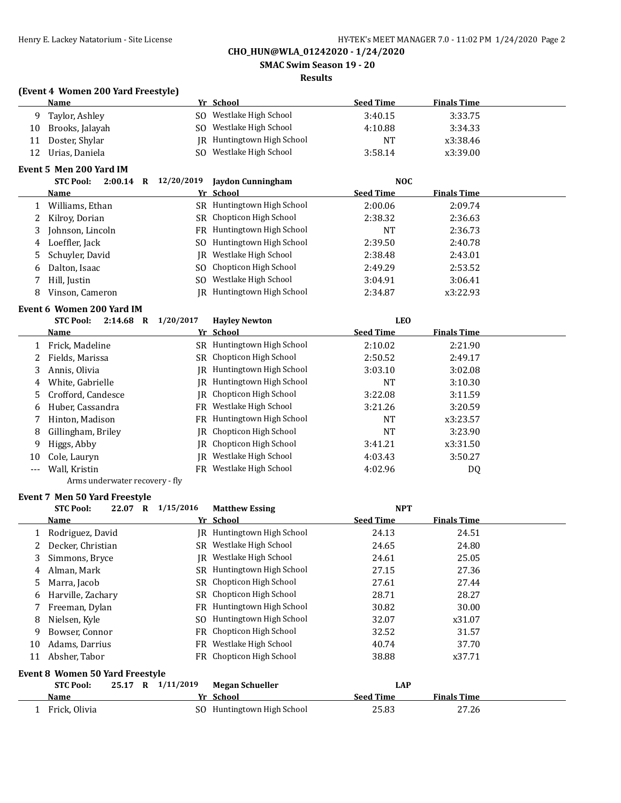**SMAC Swim Season 19 - 20**

#### **Results**

### **(Event 4 Women 200 Yard Freestyle)**

|    | Name            |     | Yr School                  | <b>Seed Time</b> | <b>Finals Time</b> |
|----|-----------------|-----|----------------------------|------------------|--------------------|
| Q  | Taylor, Ashley  | SO. | Westlake High School       | 3:40.15          | 3:33.75            |
| 10 | Brooks, Jalayah | SO. | Westlake High School       | 4:10.88          | 3:34.33            |
| 11 | Doster, Shylar  |     | JR Huntingtown High School | <b>NT</b>        | x3:38.46           |
|    | Urias, Daniela  | SO. | Westlake High School       | 3:58.14          | x3:39.00           |

### **Event 5 Men 200 Yard IM**

|   | 2:00.14<br><b>STC Pool:</b><br>R | 12/20/2019 | Jaydon Cunningham          | NOC              |                    |  |
|---|----------------------------------|------------|----------------------------|------------------|--------------------|--|
|   | Name                             |            | Yr School                  | <b>Seed Time</b> | <b>Finals Time</b> |  |
|   | Williams, Ethan                  |            | SR Huntingtown High School | 2:00.06          | 2:09.74            |  |
|   | Kilroy, Dorian                   |            | SR Chopticon High School   | 2:38.32          | 2:36.63            |  |
| 3 | Johnson, Lincoln                 |            | FR Huntingtown High School | NT               | 2:36.73            |  |
| 4 | Loeffler, Jack                   |            | SO Huntingtown High School | 2:39.50          | 2:40.78            |  |
| 5 | Schuyler, David                  | IR.        | Westlake High School       | 2:38.48          | 2:43.01            |  |
| 6 | Dalton, Isaac                    |            | SO Chopticon High School   | 2:49.29          | 2:53.52            |  |
|   | Hill, Justin                     | SO.        | Westlake High School       | 3:04.91          | 3:06.41            |  |
| 8 | Vinson, Cameron                  |            | JR Huntingtown High School | 2:34.87          | x3:22.93           |  |

# **Event 6 Women 200 Yard IM**

|       | <b>STC Pool:</b><br>2:14.68<br>R   | 1/20/2017 | <b>Havley Newton</b>            | <b>LEO</b>       |                    |  |
|-------|------------------------------------|-----------|---------------------------------|------------------|--------------------|--|
|       | Name                               |           | Yr School                       | <b>Seed Time</b> | <b>Finals Time</b> |  |
|       | Frick. Madeline                    | SR.       | Huntingtown High School         | 2:10.02          | 2:21.90            |  |
| 2     | Fields, Marissa                    |           | SR Chopticon High School        | 2:50.52          | 2:49.17            |  |
| 3     | Annis, Olivia                      | IR        | Huntingtown High School         | 3:03.10          | 3:02.08            |  |
| 4     | White, Gabrielle                   |           | JR Huntingtown High School      | <b>NT</b>        | 3:10.30            |  |
|       | 5 Crofford, Candesce               |           | <b>IR</b> Chopticon High School | 3:22.08          | 3:11.59            |  |
| 6     | Huber, Cassandra                   |           | FR Westlake High School         | 3:21.26          | 3:20.59            |  |
|       | Hinton, Madison                    |           | FR Huntingtown High School      | <b>NT</b>        | x3:23.57           |  |
| 8     | Gillingham, Briley                 |           | IR Chopticon High School        | NT               | 3:23.90            |  |
| 9     | Higgs, Abby                        |           | IR Chopticon High School        | 3:41.21          | x3:31.50           |  |
| 10    | Cole, Lauryn                       | IR        | Westlake High School            | 4:03.43          | 3:50.27            |  |
| $---$ | Wall. Kristin                      | FR        | Westlake High School            | 4:02.96          | DQ                 |  |
|       | $\sim$ $\sim$ $\sim$ $\sim$ $\sim$ |           |                                 |                  |                    |  |

#### Arms underwater recovery - fly

### **Event 7 Men 50 Yard Freestyle**

|    | <b>STC Pool:</b><br>22.07<br>R         | 1/15/2016 | <b>Matthew Essing</b>      | <b>NPT</b>       |                    |
|----|----------------------------------------|-----------|----------------------------|------------------|--------------------|
|    | Name                                   |           | Yr School                  | <b>Seed Time</b> | <b>Finals Time</b> |
|    | Rodriguez, David                       | IR        | Huntingtown High School    | 24.13            | 24.51              |
| 2  | Decker, Christian                      | SR        | Westlake High School       | 24.65            | 24.80              |
| 3  | Simmons, Bryce                         | IR        | Westlake High School       | 24.61            | 25.05              |
| 4  | Alman, Mark                            | SR        | Huntingtown High School    | 27.15            | 27.36              |
| 5  | Marra, Jacob                           | SR        | Chopticon High School      | 27.61            | 27.44              |
| 6  | Harville, Zachary                      | SR        | Chopticon High School      | 28.71            | 28.27              |
|    | Freeman, Dylan                         | FR        | Huntingtown High School    | 30.82            | 30.00              |
| 8  | Nielsen, Kyle                          | SO.       | Huntingtown High School    | 32.07            | x31.07             |
| 9  | Bowser, Connor                         | FR        | Chopticon High School      | 32.52            | 31.57              |
| 10 | Adams, Darrius                         | FR        | Westlake High School       | 40.74            | 37.70              |
| 11 | Absher, Tabor                          | FR        | Chopticon High School      | 38.88            | x37.71             |
|    | <b>Event 8 Women 50 Yard Freestyle</b> |           |                            |                  |                    |
|    | <b>STC Pool:</b><br>25.17 R            | 1/11/2019 | <b>Megan Schueller</b>     | <b>LAP</b>       |                    |
|    | Name                                   |           | Yr School                  | <b>Seed Time</b> | <b>Finals Time</b> |
|    | Frick, Olivia                          |           | SO Huntingtown High School | 25.83            | 27.26              |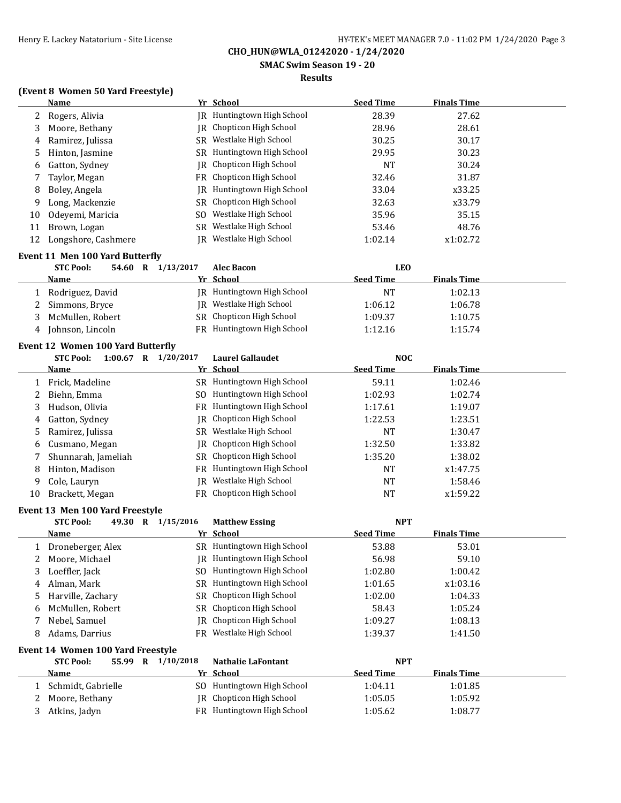**SMAC Swim Season 19 - 20**

### **Results**

### **(Event 8 Women 50 Yard Freestyle)**

|    | <b>Name</b>                              |                       | Yr School                                        | <b>Seed Time</b>               | <b>Finals Time</b> |  |
|----|------------------------------------------|-----------------------|--------------------------------------------------|--------------------------------|--------------------|--|
| 2  | Rogers, Alivia                           |                       | JR Huntingtown High School                       | 28.39                          | 27.62              |  |
| 3  | Moore, Bethany                           | IR                    | Chopticon High School                            | 28.96                          | 28.61              |  |
| 4  | Ramirez, Julissa                         | SR                    | Westlake High School                             | 30.25                          | 30.17              |  |
| 5  | Hinton, Jasmine                          | SR                    | Huntingtown High School                          | 29.95                          | 30.23              |  |
| 6  | Gatton, Sydney                           | IR                    | Chopticon High School                            | <b>NT</b>                      | 30.24              |  |
| 7  | Taylor, Megan                            | <b>FR</b>             | Chopticon High School                            | 32.46                          | 31.87              |  |
| 8  | Boley, Angela                            | IR                    | Huntingtown High School                          | 33.04                          | x33.25             |  |
| 9  | Long, Mackenzie                          | SR                    | Chopticon High School                            | 32.63                          | x33.79             |  |
| 10 | Odeyemi, Maricia                         | SO.                   | Westlake High School                             | 35.96                          | 35.15              |  |
| 11 | Brown, Logan                             | SR                    | Westlake High School                             | 53.46                          | 48.76              |  |
| 12 | Longshore, Cashmere                      | IR                    | Westlake High School                             | 1:02.14                        | x1:02.72           |  |
|    |                                          |                       |                                                  |                                |                    |  |
|    | Event 11 Men 100 Yard Butterfly          |                       |                                                  |                                |                    |  |
|    | <b>STC Pool:</b>                         | 54.60 R 1/13/2017     | Alec Bacon<br>Yr School                          | <b>LEO</b><br><b>Seed Time</b> | <b>Finals Time</b> |  |
|    | <u>Name</u>                              |                       |                                                  |                                |                    |  |
| 1  | Rodriguez, David                         |                       | JR Huntingtown High School                       | <b>NT</b>                      | 1:02.13            |  |
| 2  | Simmons, Bryce                           | IR                    | Westlake High School<br>SR Chopticon High School | 1:06.12                        | 1:06.78            |  |
| 3  | McMullen, Robert                         |                       |                                                  | 1:09.37                        | 1:10.75            |  |
| 4  | Johnson, Lincoln                         |                       | FR Huntingtown High School                       | 1:12.16                        | 1:15.74            |  |
|    | <b>Event 12 Women 100 Yard Butterfly</b> |                       |                                                  |                                |                    |  |
|    | STC Pool:                                | 1:00.67 R $1/20/2017$ | <b>Laurel Gallaudet</b>                          | <b>NOC</b>                     |                    |  |
|    | <b>Name</b>                              |                       | Yr School                                        | <b>Seed Time</b>               | <b>Finals Time</b> |  |
| 1  | Frick, Madeline                          |                       | SR Huntingtown High School                       | 59.11                          | 1:02.46            |  |
| 2  | Biehn, Emma                              |                       | SO Huntingtown High School                       | 1:02.93                        | 1:02.74            |  |
| 3  | Hudson, Olivia                           |                       | FR Huntingtown High School                       | 1:17.61                        | 1:19.07            |  |
| 4  | Gatton, Sydney                           | IR                    | Chopticon High School                            | 1:22.53                        | 1:23.51            |  |
| 5  | Ramirez, Julissa                         |                       | SR Westlake High School                          | <b>NT</b>                      | 1:30.47            |  |
| 6  | Cusmano, Megan                           | IR                    | Chopticon High School                            | 1:32.50                        | 1:33.82            |  |
| 7  | Shunnarah, Jameliah                      | SR                    | Chopticon High School                            | 1:35.20                        | 1:38.02            |  |
| 8  | Hinton, Madison                          | FR                    | Huntingtown High School                          | NT                             | x1:47.75           |  |
| 9  | Cole, Lauryn                             | IR                    | Westlake High School                             | <b>NT</b>                      | 1:58.46            |  |
| 10 | Brackett, Megan                          |                       | FR Chopticon High School                         | <b>NT</b>                      | x1:59.22           |  |
|    | Event 13 Men 100 Yard Freestyle          |                       |                                                  |                                |                    |  |
|    | <b>STC Pool:</b>                         | 49.30 R 1/15/2016     | <b>Matthew Essing</b>                            | <b>NPT</b>                     |                    |  |
|    | Name                                     |                       | Yr School                                        | <b>Seed Time</b>               | <b>Finals Time</b> |  |
|    | 1 Droneberger, Alex                      |                       | SR Huntingtown High School                       | 53.88                          | 53.01              |  |
| 2  | Moore, Michael                           |                       | JR Huntingtown High School                       | 56.98                          | 59.10              |  |
| 3  | Loeffler, Jack                           | SO.                   | Huntingtown High School                          | 1:02.80                        | 1:00.42            |  |
| 4  | Alman, Mark                              |                       | SR Huntingtown High School                       | 1:01.65                        | x1:03.16           |  |
| 5  | Harville, Zachary                        | SR                    | Chopticon High School                            | 1:02.00                        | 1:04.33            |  |
| 6  | McMullen, Robert                         | SR                    | Chopticon High School                            | 58.43                          | 1:05.24            |  |
| 7  | Nebel, Samuel                            | IR.                   | Chopticon High School                            | 1:09.27                        | 1:08.13            |  |
| 8  | Adams, Darrius                           |                       | FR Westlake High School                          | 1:39.37                        | 1:41.50            |  |
|    |                                          |                       |                                                  |                                |                    |  |
|    | Event 14 Women 100 Yard Freestyle        |                       |                                                  |                                |                    |  |
|    | <b>STC Pool:</b>                         | 55.99 R 1/10/2018     | Nathalie LaFontant                               | <b>NPT</b>                     |                    |  |
|    | <u>Name</u>                              |                       | Yr School                                        | <b>Seed Time</b>               | <b>Finals Time</b> |  |
| 1  | Schmidt, Gabrielle                       |                       | SO Huntingtown High School                       | 1:04.11                        | 1:01.85            |  |
| 2  | Moore, Bethany                           | IR                    | Chopticon High School                            | 1:05.05                        | 1:05.92            |  |
| 3  | Atkins, Jadyn                            |                       | FR Huntingtown High School                       | 1:05.62                        | 1:08.77            |  |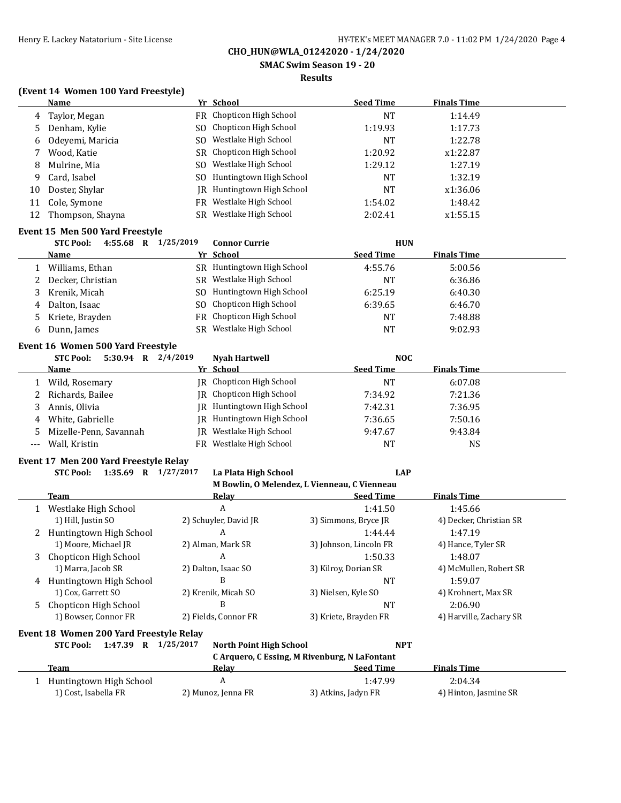**SMAC Swim Season 19 - 20**

#### **Results**

### **(Event 14 Women 100 Yard Freestyle)**

|    | <b>Name</b>      |      | Yr School                  | <b>Seed Time</b> | <b>Finals Time</b> |  |
|----|------------------|------|----------------------------|------------------|--------------------|--|
| 4  | Taylor, Megan    |      | FR Chopticon High School   | NT               | 1:14.49            |  |
| 5. | Denham, Kylie    |      | SO Chopticon High School   | 1:19.93          | 1:17.73            |  |
| 6  | Odeyemi, Maricia |      | SO Westlake High School    | <b>NT</b>        | 1:22.78            |  |
|    | Wood, Katie      |      | SR Chopticon High School   | 1:20.92          | x1:22.87           |  |
| 8  | Mulrine, Mia     |      | SO Westlake High School    | 1:29.12          | 1:27.19            |  |
| 9  | Card, Isabel     |      | SO Huntingtown High School | <b>NT</b>        | 1:32.19            |  |
| 10 | Doster, Shylar   | IR - | Huntingtown High School    | NT               | x1:36.06           |  |
| 11 | Cole, Symone     |      | FR Westlake High School    | 1:54.02          | 1:48.42            |  |
| 12 | Thompson, Shayna |      | SR Westlake High School    | 2:02.41          | x1:55.15           |  |
|    |                  |      |                            |                  |                    |  |

### **Event 15 Men 500 Yard Freestyle**

|    | $4:55.68$ R<br><b>STC Pool:</b> | 1/25/2019 | <b>Connor Currie</b>       | <b>HUN</b>       |                    |  |
|----|---------------------------------|-----------|----------------------------|------------------|--------------------|--|
|    | Name                            |           | Yr School                  | <b>Seed Time</b> | <b>Finals Time</b> |  |
|    | Williams, Ethan                 | SR.       | Huntingtown High School    | 4:55.76          | 5:00.56            |  |
|    | Decker, Christian               |           | SR Westlake High School    | NT               | 6:36.86            |  |
|    | Krenik, Micah                   |           | SO Huntingtown High School | 6:25.19          | 6:40.30            |  |
| 4  | Dalton, Isaac                   |           | SO Chopticon High School   | 6:39.65          | 6:46.70            |  |
| 5. | Kriete, Brayden                 |           | FR Chopticon High School   | NT               | 7:48.88            |  |
|    | Dunn, James                     | SR        | Westlake High School       | NT               | 9:02.93            |  |

#### **Event 16 Women 500 Yard Freestyle**

|     | $5:30.94$ R<br><b>STC Pool:</b> | 2/4/2019 | <b>Nyah Hartwell</b>       | <b>NOC</b>       |                    |
|-----|---------------------------------|----------|----------------------------|------------------|--------------------|
|     | <b>Name</b>                     |          | Yr School                  | <b>Seed Time</b> | <b>Finals Time</b> |
|     | Wild, Rosemary                  |          | IR Chopticon High School   | ΝT               | 6:07.08            |
|     | 2 Richards, Bailee              |          | IR Chopticon High School   | 7:34.92          | 7:21.36            |
|     | Annis, Olivia                   |          | JR Huntingtown High School | 7:42.31          | 7:36.95            |
|     | 4 White, Gabrielle              | IR-      | Huntingtown High School    | 7:36.65          | 7:50.16            |
|     | 5 Mizelle-Penn, Savannah        | IR       | Westlake High School       | 9:47.67          | 9:43.84            |
| --- | Wall. Kristin                   | FR       | Westlake High School       | <b>NT</b>        | NS                 |

#### **Event 17 Men 200 Yard Freestyle Relay STC Pool: 1:35.69 R 1/27/2017 La Plata High School LAP**

|    |                                         | M Bowlin, O Melendez, L Vienneau, C Vienneau  |                        |                         |
|----|-----------------------------------------|-----------------------------------------------|------------------------|-------------------------|
|    | Team                                    | Relay                                         | <b>Seed Time</b>       | <b>Finals Time</b>      |
|    | Westlake High School                    | A                                             | 1:41.50                | 1:45.66                 |
|    | 1) Hill, Justin SO                      | 2) Schuyler, David JR                         | 3) Simmons, Bryce JR   | 4) Decker, Christian SR |
| 2  | Huntingtown High School                 | A                                             | 1:44.44                | 1:47.19                 |
|    | 1) Moore, Michael JR                    | 2) Alman, Mark SR                             | 3) Johnson, Lincoln FR | 4) Hance, Tyler SR      |
| 3  | Chopticon High School                   | A                                             | 1:50.33                | 1:48.07                 |
|    | 1) Marra, Jacob SR                      | 2) Dalton, Isaac SO                           | 3) Kilroy, Dorian SR   | 4) McMullen, Robert SR  |
| 4  | Huntingtown High School                 | B                                             | <b>NT</b>              | 1:59.07                 |
|    | 1) Cox, Garrett SO                      | 2) Krenik, Micah SO                           | 3) Nielsen, Kyle SO    | 4) Krohnert, Max SR     |
| .5 | Chopticon High School                   | B                                             | <b>NT</b>              | 2:06.90                 |
|    | 1) Bowser, Connor FR                    | 2) Fields, Connor FR                          | 3) Kriete, Brayden FR  | 4) Harville, Zachary SR |
|    | Event 18 Women 200 Yard Freestyle Relay |                                               |                        |                         |
|    | <b>STC Pool:</b><br>1:47.39 R           | 1/25/2017<br>North Point High School          | <b>NPT</b>             |                         |
|    |                                         | C Arquero, C Essing, M Rivenburg, N LaFontant |                        |                         |
|    | Team                                    | Relay                                         | <b>Seed Time</b>       | <b>Finals Time</b>      |
|    | Huntingtown High School                 | A                                             | 1:47.99                | 2:04.34                 |
|    | 1) Cost, Isabella FR                    | 2) Munoz, Jenna FR                            | 3) Atkins, Jadyn FR    | 4) Hinton, Jasmine SR   |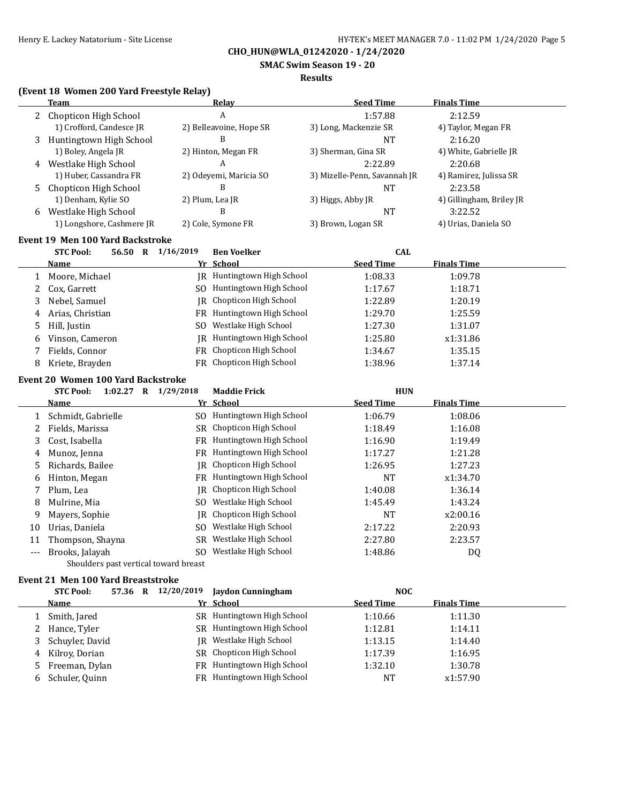**SMAC Swim Season 19 - 20**

#### **Results**

### **(Event 18 Women 200 Yard Freestyle Relay)**

|        | <b>Team</b>                                              |           | <b>Relay</b>                     | <b>Seed Time</b>               | <b>Finals Time</b>       |
|--------|----------------------------------------------------------|-----------|----------------------------------|--------------------------------|--------------------------|
| 2      | Chopticon High School                                    |           | A                                | 1:57.88                        | 2:12.59                  |
|        | 1) Crofford, Candesce JR                                 |           | 2) Belleavoine, Hope SR          | 3) Long, Mackenzie SR          | 4) Taylor, Megan FR      |
| 3      | Huntingtown High School                                  |           | B                                | <b>NT</b>                      | 2:16.20                  |
|        | 1) Boley, Angela JR                                      |           | 2) Hinton, Megan FR              | 3) Sherman, Gina SR            | 4) White, Gabrielle JR   |
| 4      | Westlake High School                                     |           | A                                | 2:22.89                        | 2:20.68                  |
|        | 1) Huber, Cassandra FR                                   |           | 2) Odeyemi, Maricia SO           | 3) Mizelle-Penn, Savannah JR   | 4) Ramirez, Julissa SR   |
| 5      | Chopticon High School                                    |           | B                                | <b>NT</b>                      | 2:23.58                  |
|        | 1) Denham, Kylie SO                                      |           | 2) Plum, Lea JR                  | 3) Higgs, Abby JR              | 4) Gillingham, Briley JR |
|        | 6 Westlake High School                                   |           | B                                | <b>NT</b>                      | 3:22.52                  |
|        | 1) Longshore, Cashmere JR                                |           | 2) Cole, Symone FR               | 3) Brown, Logan SR             | 4) Urias, Daniela SO     |
|        | <b>Event 19 Men 100 Yard Backstroke</b>                  |           |                                  |                                |                          |
|        | <b>STC Pool:</b><br>56.50 R 1/16/2019                    |           | <b>Ben Voelker</b>               | <b>CAL</b>                     |                          |
|        | <u>Name</u>                                              |           | Yr School                        | <b>Seed Time</b>               | <b>Finals Time</b>       |
| 1      | Moore, Michael                                           |           | JR Huntingtown High School       | 1:08.33                        | 1:09.78                  |
| 2      | Cox, Garrett                                             |           | SO Huntingtown High School       | 1:17.67                        | 1:18.71                  |
| 3      | Nebel, Samuel                                            | <b>IR</b> | Chopticon High School            | 1:22.89                        | 1:20.19                  |
| 4      | Arias, Christian                                         |           | FR Huntingtown High School       | 1:29.70                        | 1:25.59                  |
| 5      | Hill, Justin                                             | SO.       | Westlake High School             | 1:27.30                        | 1:31.07                  |
| 6      | Vinson, Cameron                                          |           | JR Huntingtown High School       | 1:25.80                        | x1:31.86                 |
| 7      | Fields, Connor                                           |           | FR Chopticon High School         | 1:34.67                        | 1:35.15                  |
| 8      | Kriete, Brayden                                          |           | FR Chopticon High School         | 1:38.96                        | 1:37.14                  |
|        |                                                          |           |                                  |                                |                          |
|        | <b>Event 20 Women 100 Yard Backstroke</b>                |           |                                  |                                |                          |
|        | <b>STC Pool:</b><br>1:02.27 R 1/29/2018<br><u>Name</u>   |           | <b>Maddie Frick</b><br>Yr School | <b>HUN</b><br><b>Seed Time</b> | <b>Finals Time</b>       |
|        |                                                          |           | SO Huntingtown High School       | 1:06.79                        | 1:08.06                  |
| 1<br>2 | Schmidt, Gabrielle<br>Fields, Marissa                    |           | SR Chopticon High School         | 1:18.49                        | 1:16.08                  |
| 3      | Cost, Isabella                                           |           | FR Huntingtown High School       | 1:16.90                        |                          |
|        | Munoz, Jenna                                             |           | FR Huntingtown High School       | 1:17.27                        | 1:19.49<br>1:21.28       |
| 4      |                                                          |           | Chopticon High School            |                                |                          |
| 5      | Richards, Bailee                                         | IR        | FR Huntingtown High School       | 1:26.95                        | 1:27.23                  |
| 6      | Hinton, Megan                                            |           | Chopticon High School            | <b>NT</b>                      | x1:34.70                 |
| 7      | Plum, Lea                                                | IR        | SO Westlake High School          | 1:40.08                        | 1:36.14                  |
| 8      | Mulrine, Mia                                             |           | Chopticon High School            | 1:45.49                        | 1:43.24                  |
| 9      | Mayers, Sophie                                           | IR        |                                  | NT                             | x2:00.16                 |
| 10     | Urias, Daniela                                           |           | SO Westlake High School          | 2:17.22                        | 2:20.93                  |
| 11     | Thompson, Shayna                                         |           | SR Westlake High School          | 2:27.80                        | 2:23.57                  |
| ---    | Brooks, Jalayah<br>Shoulders past vertical toward breast |           | SO Westlake High School          | 1:48.86                        | DQ                       |
|        |                                                          |           |                                  |                                |                          |
|        | <b>Event 21 Men 100 Yard Breaststroke</b>                |           |                                  |                                |                          |
|        | 57.36 R 12/20/2019<br><b>STC Pool:</b>                   |           | <b>Jaydon Cunningham</b>         | <b>NOC</b>                     |                          |
|        | <b>Name</b>                                              |           | Yr School                        | <b>Seed Time</b>               | <b>Finals Time</b>       |
| 1      | Smith, Jared                                             |           | SR Huntingtown High School       | 1:10.66                        | 1:11.30                  |
| 2      | Hance, Tyler                                             |           | SR Huntingtown High School       | 1:12.81                        | 1:14.11                  |
| 3      | Schuyler, David                                          |           | JR Westlake High School          | 1:13.15                        | 1:14.40                  |
|        | 4 Kilroy, Dorian                                         |           | SR Chopticon High School         | 1:17.39                        | 1:16.95                  |

5 Freeman, Dylan **FR** Huntingtown High School 1:32.10 1:30.78 6 Schuler, Quinn FR Huntingtown High School NT x1:57.90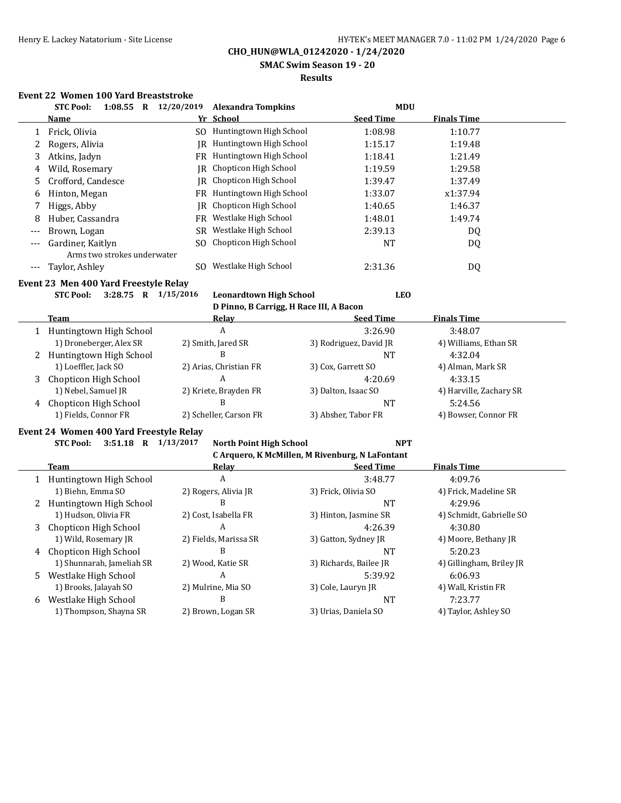**SMAC Swim Season 19 - 20**

### **Results**

# **Event 22 Women 100 Yard Breaststroke**

|         | $1:08.55$ R<br><b>STC Pool:</b> | 12/20/2019 | <b>Alexandra Tompkins</b>  | <b>MDU</b>       |                    |  |
|---------|---------------------------------|------------|----------------------------|------------------|--------------------|--|
|         | <b>Name</b>                     |            | Yr School                  | <b>Seed Time</b> | <b>Finals Time</b> |  |
|         | Frick, Olivia                   |            | SO Huntingtown High School | 1:08.98          | 1:10.77            |  |
| 2       | Rogers, Alivia                  | IRI        | Huntingtown High School    | 1:15.17          | 1:19.48            |  |
| 3       | Atkins, Jadyn                   |            | FR Huntingtown High School | 1:18.41          | 1:21.49            |  |
| 4       | Wild, Rosemary                  | IR         | Chopticon High School      | 1:19.59          | 1:29.58            |  |
| 5.      | Crofford, Candesce              |            | IR Chopticon High School   | 1:39.47          | 1:37.49            |  |
| 6       | Hinton, Megan                   |            | FR Huntingtown High School | 1:33.07          | x1:37.94           |  |
|         | Higgs, Abby                     |            | IR Chopticon High School   | 1:40.65          | 1:46.37            |  |
| 8       | Huber, Cassandra                | FR         | Westlake High School       | 1:48.01          | 1:49.74            |  |
| $---$   | Brown, Logan                    |            | SR Westlake High School    | 2:39.13          | DQ.                |  |
| $- - -$ | Gardiner, Kaitlyn               |            | SO Chopticon High School   | NT               | DQ                 |  |
|         | Arms two strokes underwater     |            |                            |                  |                    |  |
|         | Taylor, Ashley                  | SO.        | Westlake High School       | 2:31.36          | DQ                 |  |

#### **Event 23 Men 400 Yard Freestyle Relay**

**STC Pool: 3:28.75 R 1/15/2016 Leonardtown High School LEO**

|  |  |  |  |  | D Pinno, B Carrigg, H Race III, A Bacon |
|--|--|--|--|--|-----------------------------------------|
|--|--|--|--|--|-----------------------------------------|

|   | Team                      | Relay                  | <b>Seed Time</b>       | <b>Finals Time</b>      |
|---|---------------------------|------------------------|------------------------|-------------------------|
|   | Huntingtown High School   | A                      | 3:26.90                | 3:48.07                 |
|   | 1) Droneberger, Alex SR   | 2) Smith, Jared SR     | 3) Rodriguez, David JR | 4) Williams, Ethan SR   |
|   | 2 Huntingtown High School | В                      | NΤ                     | 4:32.04                 |
|   | 1) Loeffler, Jack SO      | 2) Arias, Christian FR | 3) Cox, Garrett SO     | 4) Alman, Mark SR       |
| 3 | Chopticon High School     | A                      | 4:20.69                | 4:33.15                 |
|   | 1) Nebel, Samuel JR       | 2) Kriete, Brayden FR  | 3) Dalton, Isaac SO    | 4) Harville, Zachary SR |
|   | 4 Chopticon High School   |                        | NΤ                     | 5:24.56                 |
|   | 1) Fields, Connor FR      | 2) Scheller, Carson FR | 3) Absher, Tabor FR    | 4) Bowser, Connor FR    |

### **Event 24 Women 400 Yard Freestyle Relay**

**STC Pool: 3:51.18 R 1/13/2017 North Point High School NPT**

**C Arquero, K McMillen, M Rivenburg, N LaFontant**

|   | can quero, in prepanent, printemburg, in mai oficialit |                       |                        |                          |  |
|---|--------------------------------------------------------|-----------------------|------------------------|--------------------------|--|
|   | Team                                                   | Relay                 | <b>Seed Time</b>       | <b>Finals Time</b>       |  |
|   | Huntingtown High School                                | A                     | 3:48.77                | 4:09.76                  |  |
|   | 1) Biehn, Emma SO                                      | 2) Rogers, Alivia JR  | 3) Frick, Olivia SO    | 4) Frick, Madeline SR    |  |
|   | Huntingtown High School                                | В                     | NT                     | 4:29.96                  |  |
|   | 1) Hudson, Olivia FR                                   | 2) Cost, Isabella FR  | 3) Hinton, Jasmine SR  | 4) Schmidt, Gabrielle SO |  |
| 3 | Chopticon High School                                  | A                     | 4:26.39                | 4:30.80                  |  |
|   | 1) Wild, Rosemary JR                                   | 2) Fields, Marissa SR | 3) Gatton, Sydney JR   | 4) Moore, Bethany JR     |  |
| 4 | Chopticon High School                                  | В                     | NT                     | 5:20.23                  |  |
|   | 1) Shunnarah, Jameliah SR                              | 2) Wood, Katie SR     | 3) Richards, Bailee JR | 4) Gillingham, Briley JR |  |
| 5 | Westlake High School                                   | A                     | 5:39.92                | 6:06.93                  |  |
|   | 1) Brooks, Jalayah SO                                  | 2) Mulrine, Mia SO    | 3) Cole, Lauryn JR     | 4) Wall, Kristin FR      |  |
| 6 | Westlake High School                                   | B                     | NT                     | 7:23.77                  |  |
|   | 1) Thompson, Shayna SR                                 | 2) Brown, Logan SR    | 3) Urias, Daniela SO   | 4) Taylor, Ashley SO     |  |